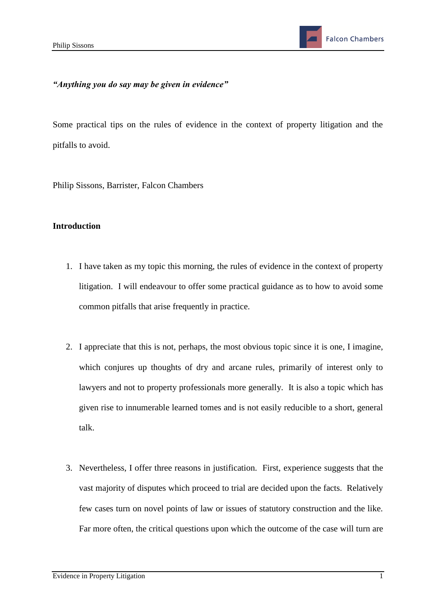# *"Anything you do say may be given in evidence"*

Some practical tips on the rules of evidence in the context of property litigation and the pitfalls to avoid.

Philip Sissons, Barrister, Falcon Chambers

#### **Introduction**

- 1. I have taken as my topic this morning, the rules of evidence in the context of property litigation. I will endeavour to offer some practical guidance as to how to avoid some common pitfalls that arise frequently in practice.
- 2. I appreciate that this is not, perhaps, the most obvious topic since it is one, I imagine, which conjures up thoughts of dry and arcane rules, primarily of interest only to lawyers and not to property professionals more generally. It is also a topic which has given rise to innumerable learned tomes and is not easily reducible to a short, general talk.
- 3. Nevertheless, I offer three reasons in justification. First, experience suggests that the vast majority of disputes which proceed to trial are decided upon the facts. Relatively few cases turn on novel points of law or issues of statutory construction and the like. Far more often, the critical questions upon which the outcome of the case will turn are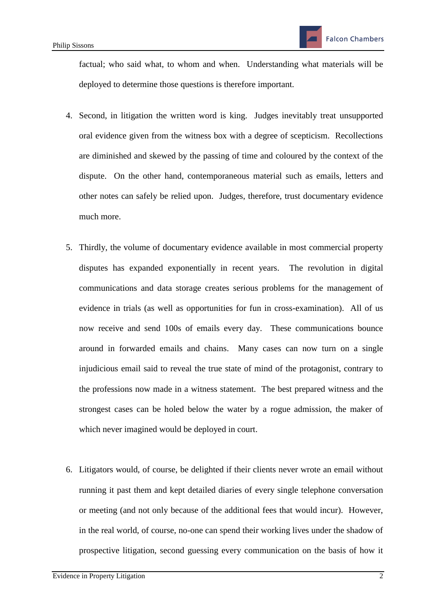factual; who said what, to whom and when. Understanding what materials will be deployed to determine those questions is therefore important.

- 4. Second, in litigation the written word is king. Judges inevitably treat unsupported oral evidence given from the witness box with a degree of scepticism. Recollections are diminished and skewed by the passing of time and coloured by the context of the dispute. On the other hand, contemporaneous material such as emails, letters and other notes can safely be relied upon. Judges, therefore, trust documentary evidence much more.
- 5. Thirdly, the volume of documentary evidence available in most commercial property disputes has expanded exponentially in recent years. The revolution in digital communications and data storage creates serious problems for the management of evidence in trials (as well as opportunities for fun in cross-examination). All of us now receive and send 100s of emails every day. These communications bounce around in forwarded emails and chains. Many cases can now turn on a single injudicious email said to reveal the true state of mind of the protagonist, contrary to the professions now made in a witness statement. The best prepared witness and the strongest cases can be holed below the water by a rogue admission, the maker of which never imagined would be deployed in court.
- 6. Litigators would, of course, be delighted if their clients never wrote an email without running it past them and kept detailed diaries of every single telephone conversation or meeting (and not only because of the additional fees that would incur). However, in the real world, of course, no-one can spend their working lives under the shadow of prospective litigation, second guessing every communication on the basis of how it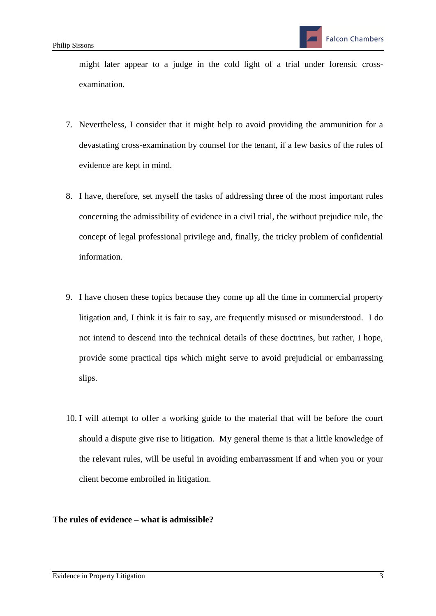might later appear to a judge in the cold light of a trial under forensic crossexamination.

- 7. Nevertheless, I consider that it might help to avoid providing the ammunition for a devastating cross-examination by counsel for the tenant, if a few basics of the rules of evidence are kept in mind.
- 8. I have, therefore, set myself the tasks of addressing three of the most important rules concerning the admissibility of evidence in a civil trial, the without prejudice rule, the concept of legal professional privilege and, finally, the tricky problem of confidential information.
- 9. I have chosen these topics because they come up all the time in commercial property litigation and, I think it is fair to say, are frequently misused or misunderstood. I do not intend to descend into the technical details of these doctrines, but rather, I hope, provide some practical tips which might serve to avoid prejudicial or embarrassing slips.
- 10. I will attempt to offer a working guide to the material that will be before the court should a dispute give rise to litigation. My general theme is that a little knowledge of the relevant rules, will be useful in avoiding embarrassment if and when you or your client become embroiled in litigation.

## **The rules of evidence – what is admissible?**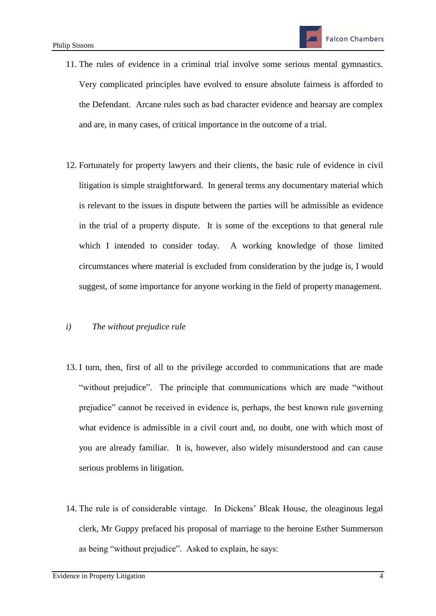- 11. The rules of evidence in a criminal trial involve some serious mental gymnastics. Very complicated principles have evolved to ensure absolute fairness is afforded to the Defendant. Arcane rules such as bad character evidence and hearsay are complex and are, in many cases, of critical importance in the outcome of a trial.
- 12. Fortunately for property lawyers and their clients, the basic rule of evidence in civil litigation is simple straightforward. In general terms any documentary material which is relevant to the issues in dispute between the parties will be admissible as evidence in the trial of a property dispute. It is some of the exceptions to that general rule which I intended to consider today. A working knowledge of those limited circumstances where material is excluded from consideration by the judge is, I would suggest, of some importance for anyone working in the field of property management.

## *i) The without prejudice rule*

- 13. I turn, then, first of all to the privilege accorded to communications that are made "without prejudice". The principle that communications which are made "without prejudice" cannot be received in evidence is, perhaps, the best known rule governing what evidence is admissible in a civil court and, no doubt, one with which most of you are already familiar. It is, however, also widely misunderstood and can cause serious problems in litigation.
- 14. The rule is of considerable vintage. In Dickens' Bleak House, the oleaginous legal clerk, Mr Guppy prefaced his proposal of marriage to the heroine Esther Summerson as being "without prejudice". Asked to explain, he says: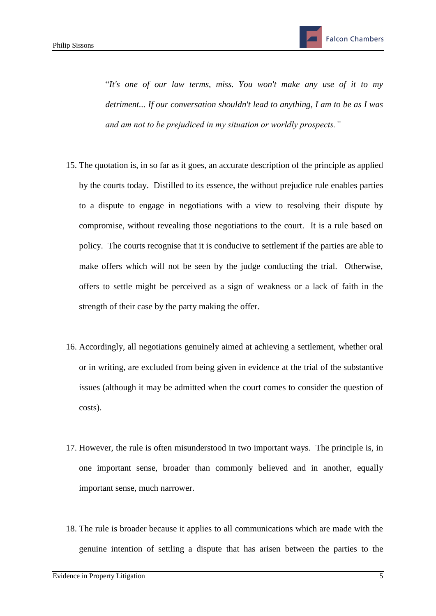"*It's one of our law terms, miss. You won't make any use of it to my detriment... If our conversation shouldn't lead to anything, I am to be as I was and am not to be prejudiced in my situation or worldly prospects."*

- 15. The quotation is, in so far as it goes, an accurate description of the principle as applied by the courts today. Distilled to its essence, the without prejudice rule enables parties to a dispute to engage in negotiations with a view to resolving their dispute by compromise, without revealing those negotiations to the court. It is a rule based on policy. The courts recognise that it is conducive to settlement if the parties are able to make offers which will not be seen by the judge conducting the trial. Otherwise, offers to settle might be perceived as a sign of weakness or a lack of faith in the strength of their case by the party making the offer.
- 16. Accordingly, all negotiations genuinely aimed at achieving a settlement, whether oral or in writing, are excluded from being given in evidence at the trial of the substantive issues (although it may be admitted when the court comes to consider the question of costs).
- 17. However, the rule is often misunderstood in two important ways. The principle is, in one important sense, broader than commonly believed and in another, equally important sense, much narrower.
- 18. The rule is broader because it applies to all communications which are made with the genuine intention of settling a dispute that has arisen between the parties to the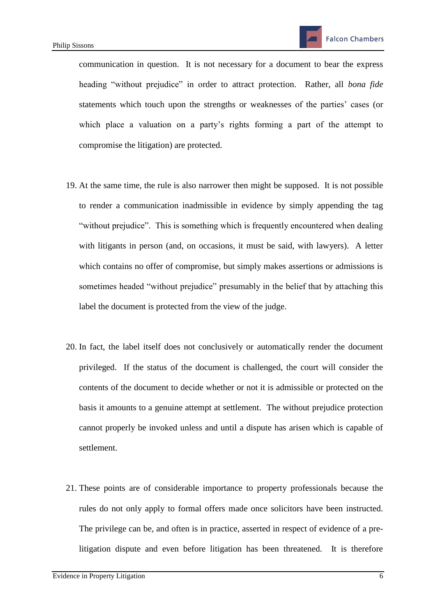communication in question. It is not necessary for a document to bear the express heading "without prejudice" in order to attract protection. Rather, all *bona fide* statements which touch upon the strengths or weaknesses of the parties' cases (or which place a valuation on a party's rights forming a part of the attempt to compromise the litigation) are protected.

- 19. At the same time, the rule is also narrower then might be supposed. It is not possible to render a communication inadmissible in evidence by simply appending the tag "without prejudice". This is something which is frequently encountered when dealing with litigants in person (and, on occasions, it must be said, with lawyers). A letter which contains no offer of compromise, but simply makes assertions or admissions is sometimes headed "without prejudice" presumably in the belief that by attaching this label the document is protected from the view of the judge.
- 20. In fact, the label itself does not conclusively or automatically render the document privileged. If the status of the document is challenged, the court will consider the contents of the document to decide whether or not it is admissible or protected on the basis it amounts to a genuine attempt at settlement. The without prejudice protection cannot properly be invoked unless and until a dispute has arisen which is capable of settlement.
- 21. These points are of considerable importance to property professionals because the rules do not only apply to formal offers made once solicitors have been instructed. The privilege can be, and often is in practice, asserted in respect of evidence of a prelitigation dispute and even before litigation has been threatened. It is therefore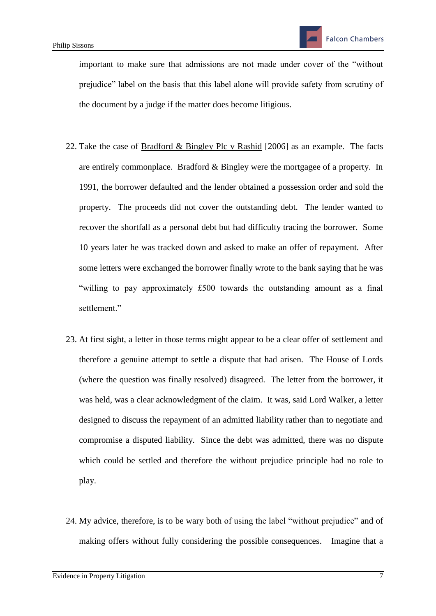important to make sure that admissions are not made under cover of the "without prejudice" label on the basis that this label alone will provide safety from scrutiny of the document by a judge if the matter does become litigious.

- 22. Take the case of **Bradford & Bingley Plc v Rashid** [2006] as an example. The facts are entirely commonplace. Bradford & Bingley were the mortgagee of a property. In 1991, the borrower defaulted and the lender obtained a possession order and sold the property. The proceeds did not cover the outstanding debt. The lender wanted to recover the shortfall as a personal debt but had difficulty tracing the borrower. Some 10 years later he was tracked down and asked to make an offer of repayment. After some letters were exchanged the borrower finally wrote to the bank saying that he was "willing to pay approximately £500 towards the outstanding amount as a final settlement."
- 23. At first sight, a letter in those terms might appear to be a clear offer of settlement and therefore a genuine attempt to settle a dispute that had arisen. The House of Lords (where the question was finally resolved) disagreed. The letter from the borrower, it was held, was a clear acknowledgment of the claim. It was, said Lord Walker, a letter designed to discuss the repayment of an admitted liability rather than to negotiate and compromise a disputed liability. Since the debt was admitted, there was no dispute which could be settled and therefore the without prejudice principle had no role to play.
- 24. My advice, therefore, is to be wary both of using the label "without prejudice" and of making offers without fully considering the possible consequences. Imagine that a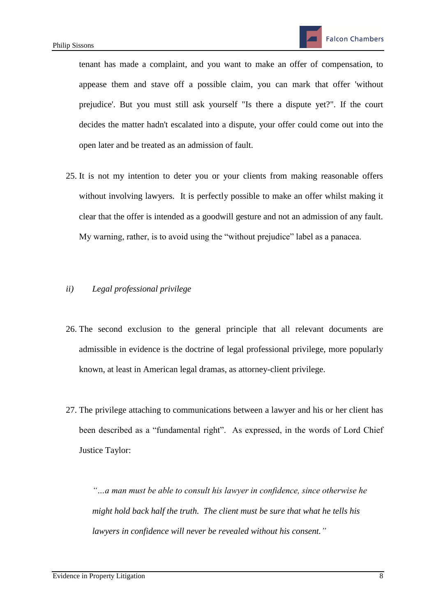tenant has made a complaint, and you want to make an offer of compensation, to appease them and stave off a possible claim, you can mark that offer 'without prejudice'. But you must still ask yourself "Is there a dispute yet?". If the court decides the matter hadn't escalated into a dispute, your offer could come out into the open later and be treated as an admission of fault.

25. It is not my intention to deter you or your clients from making reasonable offers without involving lawyers. It is perfectly possible to make an offer whilst making it clear that the offer is intended as a goodwill gesture and not an admission of any fault. My warning, rather, is to avoid using the "without prejudice" label as a panacea.

## *ii) Legal professional privilege*

- 26. The second exclusion to the general principle that all relevant documents are admissible in evidence is the doctrine of legal professional privilege, more popularly known, at least in American legal dramas, as attorney-client privilege.
- 27. The privilege attaching to communications between a lawyer and his or her client has been described as a "fundamental right". As expressed, in the words of Lord Chief Justice Taylor:

*"…a man must be able to consult his lawyer in confidence, since otherwise he might hold back half the truth. The client must be sure that what he tells his lawyers in confidence will never be revealed without his consent."*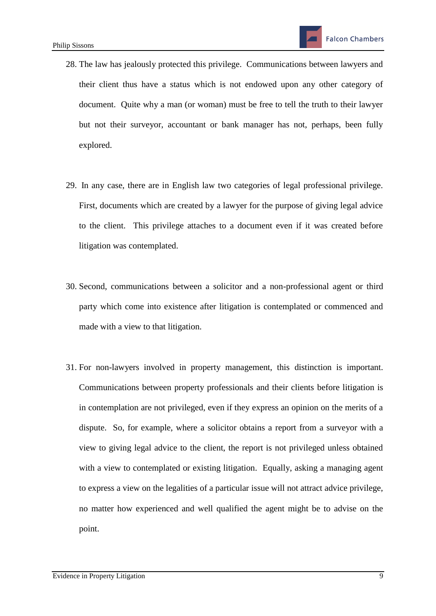- 28. The law has jealously protected this privilege. Communications between lawyers and their client thus have a status which is not endowed upon any other category of document. Quite why a man (or woman) must be free to tell the truth to their lawyer but not their surveyor, accountant or bank manager has not, perhaps, been fully explored.
- 29. In any case, there are in English law two categories of legal professional privilege. First, documents which are created by a lawyer for the purpose of giving legal advice to the client. This privilege attaches to a document even if it was created before litigation was contemplated.
- 30. Second, communications between a solicitor and a non-professional agent or third party which come into existence after litigation is contemplated or commenced and made with a view to that litigation.
- 31. For non-lawyers involved in property management, this distinction is important. Communications between property professionals and their clients before litigation is in contemplation are not privileged, even if they express an opinion on the merits of a dispute. So, for example, where a solicitor obtains a report from a surveyor with a view to giving legal advice to the client, the report is not privileged unless obtained with a view to contemplated or existing litigation. Equally, asking a managing agent to express a view on the legalities of a particular issue will not attract advice privilege, no matter how experienced and well qualified the agent might be to advise on the point.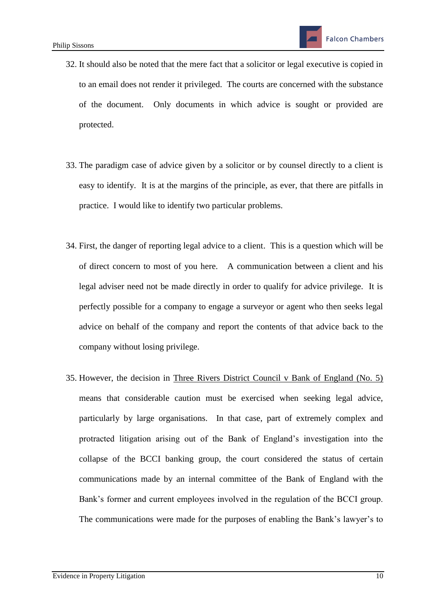- 32. It should also be noted that the mere fact that a solicitor or legal executive is copied in to an email does not render it privileged. The courts are concerned with the substance of the document. Only documents in which advice is sought or provided are protected.
- 33. The paradigm case of advice given by a solicitor or by counsel directly to a client is easy to identify. It is at the margins of the principle, as ever, that there are pitfalls in practice. I would like to identify two particular problems.
- 34. First, the danger of reporting legal advice to a client. This is a question which will be of direct concern to most of you here. A communication between a client and his legal adviser need not be made directly in order to qualify for advice privilege. It is perfectly possible for a company to engage a surveyor or agent who then seeks legal advice on behalf of the company and report the contents of that advice back to the company without losing privilege.
- 35. However, the decision in Three Rivers District Council v Bank of England (No. 5) means that considerable caution must be exercised when seeking legal advice, particularly by large organisations. In that case, part of extremely complex and protracted litigation arising out of the Bank of England's investigation into the collapse of the BCCI banking group, the court considered the status of certain communications made by an internal committee of the Bank of England with the Bank's former and current employees involved in the regulation of the BCCI group. The communications were made for the purposes of enabling the Bank's lawyer's to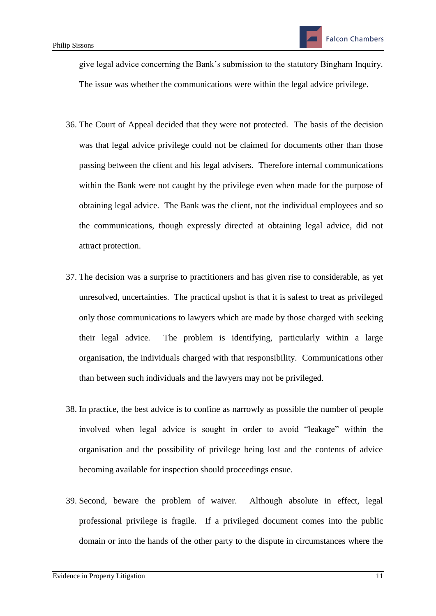give legal advice concerning the Bank's submission to the statutory Bingham Inquiry. The issue was whether the communications were within the legal advice privilege.

- 36. The Court of Appeal decided that they were not protected. The basis of the decision was that legal advice privilege could not be claimed for documents other than those passing between the client and his legal advisers. Therefore internal communications within the Bank were not caught by the privilege even when made for the purpose of obtaining legal advice. The Bank was the client, not the individual employees and so the communications, though expressly directed at obtaining legal advice, did not attract protection.
- 37. The decision was a surprise to practitioners and has given rise to considerable, as yet unresolved, uncertainties. The practical upshot is that it is safest to treat as privileged only those communications to lawyers which are made by those charged with seeking their legal advice. The problem is identifying, particularly within a large organisation, the individuals charged with that responsibility. Communications other than between such individuals and the lawyers may not be privileged.
- 38. In practice, the best advice is to confine as narrowly as possible the number of people involved when legal advice is sought in order to avoid "leakage" within the organisation and the possibility of privilege being lost and the contents of advice becoming available for inspection should proceedings ensue.
- 39. Second, beware the problem of waiver. Although absolute in effect, legal professional privilege is fragile. If a privileged document comes into the public domain or into the hands of the other party to the dispute in circumstances where the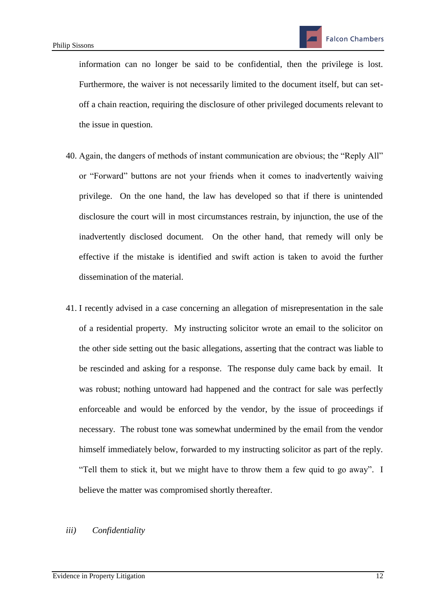information can no longer be said to be confidential, then the privilege is lost. Furthermore, the waiver is not necessarily limited to the document itself, but can setoff a chain reaction, requiring the disclosure of other privileged documents relevant to the issue in question.

- 40. Again, the dangers of methods of instant communication are obvious; the "Reply All" or "Forward" buttons are not your friends when it comes to inadvertently waiving privilege. On the one hand, the law has developed so that if there is unintended disclosure the court will in most circumstances restrain, by injunction, the use of the inadvertently disclosed document. On the other hand, that remedy will only be effective if the mistake is identified and swift action is taken to avoid the further dissemination of the material.
- 41. I recently advised in a case concerning an allegation of misrepresentation in the sale of a residential property. My instructing solicitor wrote an email to the solicitor on the other side setting out the basic allegations, asserting that the contract was liable to be rescinded and asking for a response. The response duly came back by email. It was robust; nothing untoward had happened and the contract for sale was perfectly enforceable and would be enforced by the vendor, by the issue of proceedings if necessary. The robust tone was somewhat undermined by the email from the vendor himself immediately below, forwarded to my instructing solicitor as part of the reply. "Tell them to stick it, but we might have to throw them a few quid to go away". I believe the matter was compromised shortly thereafter.

#### *iii) Confidentiality*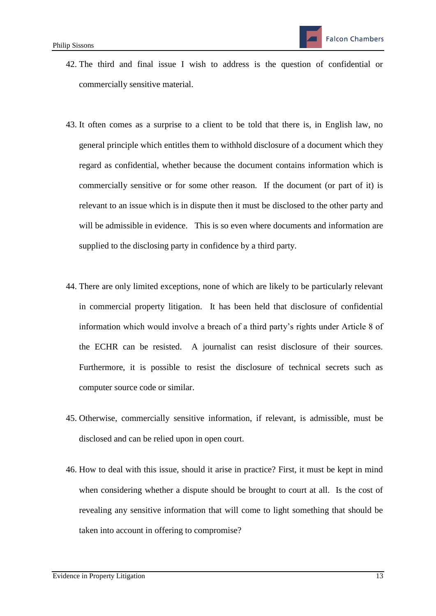- 42. The third and final issue I wish to address is the question of confidential or commercially sensitive material.
- 43. It often comes as a surprise to a client to be told that there is, in English law, no general principle which entitles them to withhold disclosure of a document which they regard as confidential, whether because the document contains information which is commercially sensitive or for some other reason. If the document (or part of it) is relevant to an issue which is in dispute then it must be disclosed to the other party and will be admissible in evidence. This is so even where documents and information are supplied to the disclosing party in confidence by a third party.
- 44. There are only limited exceptions, none of which are likely to be particularly relevant in commercial property litigation. It has been held that disclosure of confidential information which would involve a breach of a third party's rights under Article 8 of the ECHR can be resisted. A journalist can resist disclosure of their sources. Furthermore, it is possible to resist the disclosure of technical secrets such as computer source code or similar.
- 45. Otherwise, commercially sensitive information, if relevant, is admissible, must be disclosed and can be relied upon in open court.
- 46. How to deal with this issue, should it arise in practice? First, it must be kept in mind when considering whether a dispute should be brought to court at all. Is the cost of revealing any sensitive information that will come to light something that should be taken into account in offering to compromise?